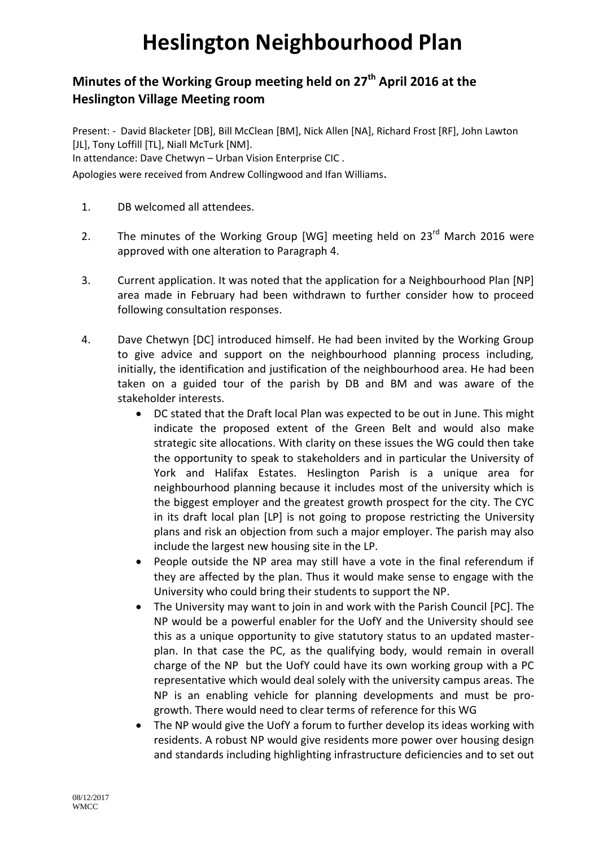## **Heslington Neighbourhood Plan**

## **Minutes of the Working Group meeting held on 27th April 2016 at the Heslington Village Meeting room**

Present: - David Blacketer [DB], Bill McClean [BM], Nick Allen [NA], Richard Frost [RF], John Lawton [JL], Tony Loffill [TL], Niall McTurk [NM].

In attendance: Dave Chetwyn – Urban Vision Enterprise CIC .

Apologies were received from Andrew Collingwood and Ifan Williams.

- 1. DB welcomed all attendees.
- 2. The minutes of the Working Group [WG] meeting held on 23<sup>rd</sup> March 2016 were approved with one alteration to Paragraph 4.
- 3. Current application. It was noted that the application for a Neighbourhood Plan [NP] area made in February had been withdrawn to further consider how to proceed following consultation responses.
- 4. Dave Chetwyn [DC] introduced himself. He had been invited by the Working Group to give advice and support on the neighbourhood planning process including, initially, the identification and justification of the neighbourhood area. He had been taken on a guided tour of the parish by DB and BM and was aware of the stakeholder interests.
	- DC stated that the Draft local Plan was expected to be out in June. This might indicate the proposed extent of the Green Belt and would also make strategic site allocations. With clarity on these issues the WG could then take the opportunity to speak to stakeholders and in particular the University of York and Halifax Estates. Heslington Parish is a unique area for neighbourhood planning because it includes most of the university which is the biggest employer and the greatest growth prospect for the city. The CYC in its draft local plan [LP] is not going to propose restricting the University plans and risk an objection from such a major employer. The parish may also include the largest new housing site in the LP.
	- People outside the NP area may still have a vote in the final referendum if they are affected by the plan. Thus it would make sense to engage with the University who could bring their students to support the NP.
	- The University may want to join in and work with the Parish Council [PC]. The NP would be a powerful enabler for the UofY and the University should see this as a unique opportunity to give statutory status to an updated masterplan. In that case the PC, as the qualifying body, would remain in overall charge of the NP but the UofY could have its own working group with a PC representative which would deal solely with the university campus areas. The NP is an enabling vehicle for planning developments and must be progrowth. There would need to clear terms of reference for this WG
	- The NP would give the UofY a forum to further develop its ideas working with residents. A robust NP would give residents more power over housing design and standards including highlighting infrastructure deficiencies and to set out